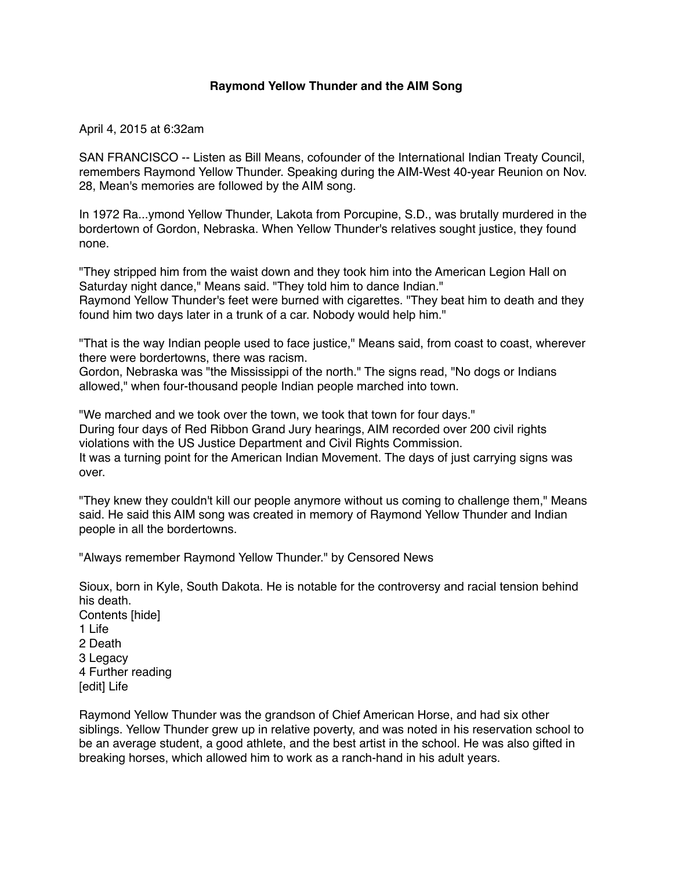## **Raymond Yellow Thunder and the AIM Song**

April 4, 2015 at 6:32am

SAN FRANCISCO -- Listen as Bill Means, cofounder of the International Indian Treaty Council, remembers Raymond Yellow Thunder. Speaking during the AIM-West 40-year Reunion on Nov. 28, Mean's memories are followed by the AIM song.

In 1972 Ra...ymond Yellow Thunder, Lakota from Porcupine, S.D., was brutally murdered in the bordertown of Gordon, Nebraska. When Yellow Thunder's relatives sought justice, they found none.

"They stripped him from the waist down and they took him into the American Legion Hall on Saturday night dance," Means said. "They told him to dance Indian." Raymond Yellow Thunder's feet were burned with cigarettes. "They beat him to death and they found him two days later in a trunk of a car. Nobody would help him."

"That is the way Indian people used to face justice," Means said, from coast to coast, wherever there were bordertowns, there was racism.

Gordon, Nebraska was "the Mississippi of the north." The signs read, "No dogs or Indians allowed," when four-thousand people Indian people marched into town.

"We marched and we took over the town, we took that town for four days." During four days of Red Ribbon Grand Jury hearings, AIM recorded over 200 civil rights violations with the US Justice Department and Civil Rights Commission. It was a turning point for the American Indian Movement. The days of just carrying signs was over.

"They knew they couldn't kill our people anymore without us coming to challenge them," Means said. He said this AIM song was created in memory of Raymond Yellow Thunder and Indian people in all the bordertowns.

"Always remember Raymond Yellow Thunder." by Censored News

Sioux, born in Kyle, South Dakota. He is notable for the controversy and racial tension behind his death.

Contents [hide] 1 Life 2 Death 3 Legacy 4 Further reading [edit] Life

Raymond Yellow Thunder was the grandson of Chief American Horse, and had six other siblings. Yellow Thunder grew up in relative poverty, and was noted in his reservation school to be an average student, a good athlete, and the best artist in the school. He was also gifted in breaking horses, which allowed him to work as a ranch-hand in his adult years.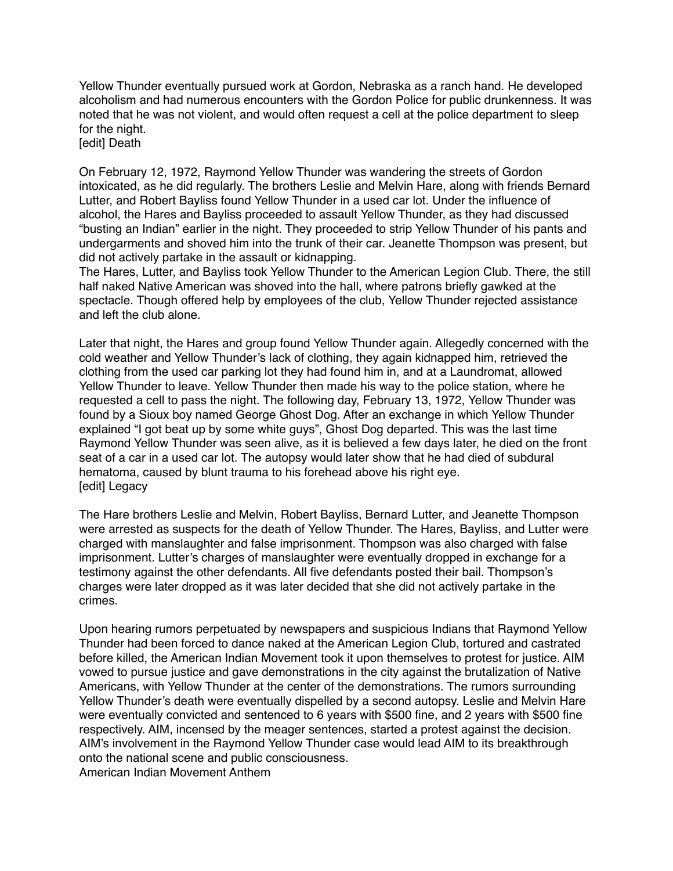Yellow Thunder eventually pursued work at Gordon, Nebraska as a ranch hand. He developed alcoholism and had numerous encounters with the Gordon Police for public drunkenness. It was noted that he was not violent, and would often request a cell at the police department to sleep for the night.

[edit] Death

On February 12, 1972, Raymond Yellow Thunder was wandering the streets of Gordon intoxicated, as he did regularly. The brothers Leslie and Melvin Hare, along with friends Bernard Lutter, and Robert Bayliss found Yellow Thunder in a used car lot. Under the influence of alcohol, the Hares and Bayliss proceeded to assault Yellow Thunder, as they had discussed "busting an Indian" earlier in the night. They proceeded to strip Yellow Thunder of his pants and undergarments and shoved him into the trunk of their car. Jeanette Thompson was present, but did not actively partake in the assault or kidnapping.

The Hares, Lutter, and Bayliss took Yellow Thunder to the American Legion Club. There, the still half naked Native American was shoved into the hall, where patrons briefly gawked at the spectacle. Though offered help by employees of the club, Yellow Thunder rejected assistance and left the club alone.

Later that night, the Hares and group found Yellow Thunder again. Allegedly concerned with the cold weather and Yellow Thunder's lack of clothing, they again kidnapped him, retrieved the clothing from the used car parking lot they had found him in, and at a Laundromat, allowed Yellow Thunder to leave. Yellow Thunder then made his way to the police station, where he requested a cell to pass the night. The following day, February 13, 1972, Yellow Thunder was found by a Sioux boy named George Ghost Dog. After an exchange in which Yellow Thunder explained "I got beat up by some white guys", Ghost Dog departed. This was the last time Raymond Yellow Thunder was seen alive, as it is believed a few days later, he died on the front seat of a car in a used car lot. The autopsy would later show that he had died of subdural hematoma, caused by blunt trauma to his forehead above his right eye. [edit] Legacy

The Hare brothers Leslie and Melvin, Robert Bayliss, Bernard Lutter, and Jeanette Thompson were arrested as suspects for the death of Yellow Thunder. The Hares, Bayliss, and Lutter were charged with manslaughter and false imprisonment. Thompson was also charged with false imprisonment. Lutter's charges of manslaughter were eventually dropped in exchange for a testimony against the other defendants. All five defendants posted their bail. Thompson's charges were later dropped as it was later decided that she did not actively partake in the crimes.

Upon hearing rumors perpetuated by newspapers and suspicious Indians that Raymond Yellow Thunder had been forced to dance naked at the American Legion Club, tortured and castrated before killed, the American Indian Movement took it upon themselves to protest for justice. AIM vowed to pursue justice and gave demonstrations in the city against the brutalization of Native Americans, with Yellow Thunder at the center of the demonstrations. The rumors surrounding Yellow Thunder's death were eventually dispelled by a second autopsy. Leslie and Melvin Hare were eventually convicted and sentenced to 6 years with \$500 fine, and 2 years with \$500 fine respectively. AIM, incensed by the meager sentences, started a protest against the decision. AIM's involvement in the Raymond Yellow Thunder case would lead AIM to its breakthrough onto the national scene and public consciousness. American Indian Movement Anthem